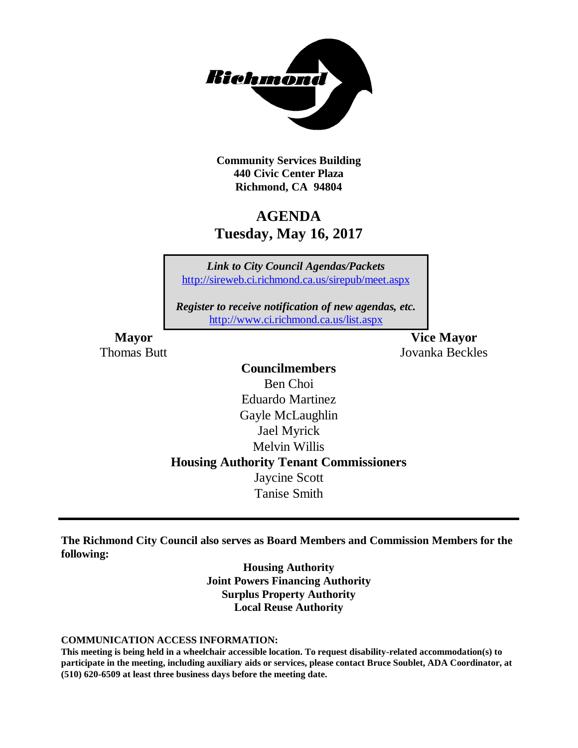

**Community Services Building 440 Civic Center Plaza Richmond, CA 94804**

# **AGENDA Tuesday, May 16, 2017**

*Link to City Council Agendas/Packets* <http://sireweb.ci.richmond.ca.us/sirepub/meet.aspx>

*Register to receive notification of new agendas, etc.* <http://www.ci.richmond.ca.us/list.aspx>

**Mayor Vice Mayor** Thomas Butt Jovanka Beckles

# **Councilmembers**

Ben Choi Eduardo Martinez Gayle McLaughlin Jael Myrick Melvin Willis **Housing Authority Tenant Commissioners** Jaycine Scott Tanise Smith

**The Richmond City Council also serves as Board Members and Commission Members for the following:**

> **Housing Authority Joint Powers Financing Authority Surplus Property Authority Local Reuse Authority**

#### **COMMUNICATION ACCESS INFORMATION:**

**This meeting is being held in a wheelchair accessible location. To request disability-related accommodation(s) to participate in the meeting, including auxiliary aids or services, please contact Bruce Soublet, ADA Coordinator, at (510) 620-6509 at least three business days before the meeting date.**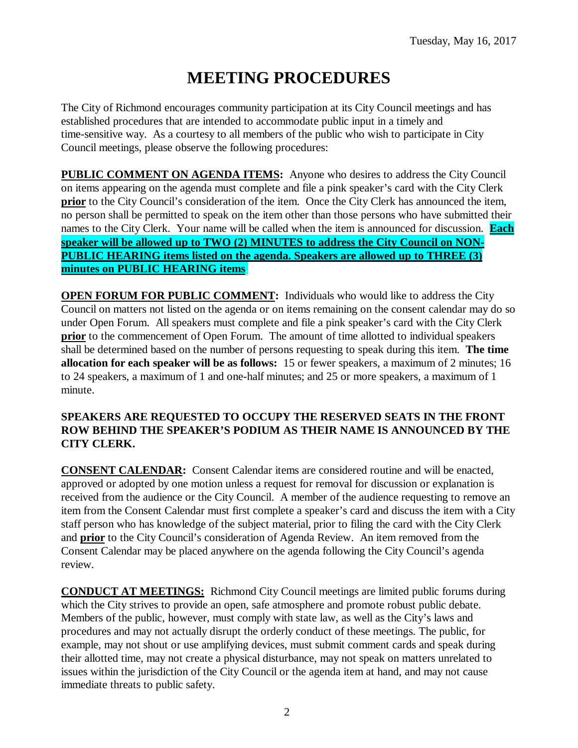# **MEETING PROCEDURES**

The City of Richmond encourages community participation at its City Council meetings and has established procedures that are intended to accommodate public input in a timely and time-sensitive way. As a courtesy to all members of the public who wish to participate in City Council meetings, please observe the following procedures:

**PUBLIC COMMENT ON AGENDA ITEMS:** Anyone who desires to address the City Council on items appearing on the agenda must complete and file a pink speaker's card with the City Clerk **prior** to the City Council's consideration of the item. Once the City Clerk has announced the item, no person shall be permitted to speak on the item other than those persons who have submitted their names to the City Clerk. Your name will be called when the item is announced for discussion. **Each speaker will be allowed up to TWO (2) MINUTES to address the City Council on NON-PUBLIC HEARING items listed on the agenda. Speakers are allowed up to THREE (3) minutes on PUBLIC HEARING items.**

**OPEN FORUM FOR PUBLIC COMMENT:** Individuals who would like to address the City Council on matters not listed on the agenda or on items remaining on the consent calendar may do so under Open Forum. All speakers must complete and file a pink speaker's card with the City Clerk **prior** to the commencement of Open Forum. The amount of time allotted to individual speakers shall be determined based on the number of persons requesting to speak during this item. **The time allocation for each speaker will be as follows:** 15 or fewer speakers, a maximum of 2 minutes; 16 to 24 speakers, a maximum of 1 and one-half minutes; and 25 or more speakers, a maximum of 1 minute.

## **SPEAKERS ARE REQUESTED TO OCCUPY THE RESERVED SEATS IN THE FRONT ROW BEHIND THE SPEAKER'S PODIUM AS THEIR NAME IS ANNOUNCED BY THE CITY CLERK.**

**CONSENT CALENDAR:** Consent Calendar items are considered routine and will be enacted, approved or adopted by one motion unless a request for removal for discussion or explanation is received from the audience or the City Council. A member of the audience requesting to remove an item from the Consent Calendar must first complete a speaker's card and discuss the item with a City staff person who has knowledge of the subject material, prior to filing the card with the City Clerk and **prior** to the City Council's consideration of Agenda Review. An item removed from the Consent Calendar may be placed anywhere on the agenda following the City Council's agenda review.

**CONDUCT AT MEETINGS:** Richmond City Council meetings are limited public forums during which the City strives to provide an open, safe atmosphere and promote robust public debate. Members of the public, however, must comply with state law, as well as the City's laws and procedures and may not actually disrupt the orderly conduct of these meetings. The public, for example, may not shout or use amplifying devices, must submit comment cards and speak during their allotted time, may not create a physical disturbance, may not speak on matters unrelated to issues within the jurisdiction of the City Council or the agenda item at hand, and may not cause immediate threats to public safety.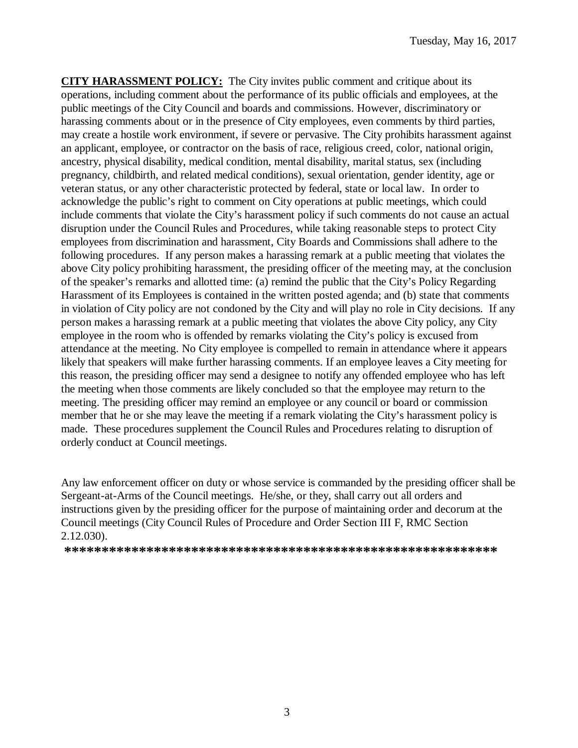**CITY HARASSMENT POLICY:** The City invites public comment and critique about its operations, including comment about the performance of its public officials and employees, at the public meetings of the City Council and boards and commissions. However, discriminatory or harassing comments about or in the presence of City employees, even comments by third parties, may create a hostile work environment, if severe or pervasive. The City prohibits harassment against an applicant, employee, or contractor on the basis of race, religious creed, color, national origin, ancestry, physical disability, medical condition, mental disability, marital status, sex (including pregnancy, childbirth, and related medical conditions), sexual orientation, gender identity, age or veteran status, or any other characteristic protected by federal, state or local law. In order to acknowledge the public's right to comment on City operations at public meetings, which could include comments that violate the City's harassment policy if such comments do not cause an actual disruption under the Council Rules and Procedures, while taking reasonable steps to protect City employees from discrimination and harassment, City Boards and Commissions shall adhere to the following procedures. If any person makes a harassing remark at a public meeting that violates the above City policy prohibiting harassment, the presiding officer of the meeting may, at the conclusion of the speaker's remarks and allotted time: (a) remind the public that the City's Policy Regarding Harassment of its Employees is contained in the written posted agenda; and (b) state that comments in violation of City policy are not condoned by the City and will play no role in City decisions. If any person makes a harassing remark at a public meeting that violates the above City policy, any City employee in the room who is offended by remarks violating the City's policy is excused from attendance at the meeting. No City employee is compelled to remain in attendance where it appears likely that speakers will make further harassing comments. If an employee leaves a City meeting for this reason, the presiding officer may send a designee to notify any offended employee who has left the meeting when those comments are likely concluded so that the employee may return to the meeting. The presiding officer may remind an employee or any council or board or commission member that he or she may leave the meeting if a remark violating the City's harassment policy is made. These procedures supplement the Council Rules and Procedures relating to disruption of orderly conduct at Council meetings.

Any law enforcement officer on duty or whose service is commanded by the presiding officer shall be Sergeant-at-Arms of the Council meetings. He/she, or they, shall carry out all orders and instructions given by the presiding officer for the purpose of maintaining order and decorum at the Council meetings (City Council Rules of Procedure and Order Section III F, RMC Section 2.12.030).

**\*\*\*\*\*\*\*\*\*\*\*\*\*\*\*\*\*\*\*\*\*\*\*\*\*\*\*\*\*\*\*\*\*\*\*\*\*\*\*\*\*\*\*\*\*\*\*\*\*\*\*\*\*\*\*\*\*\***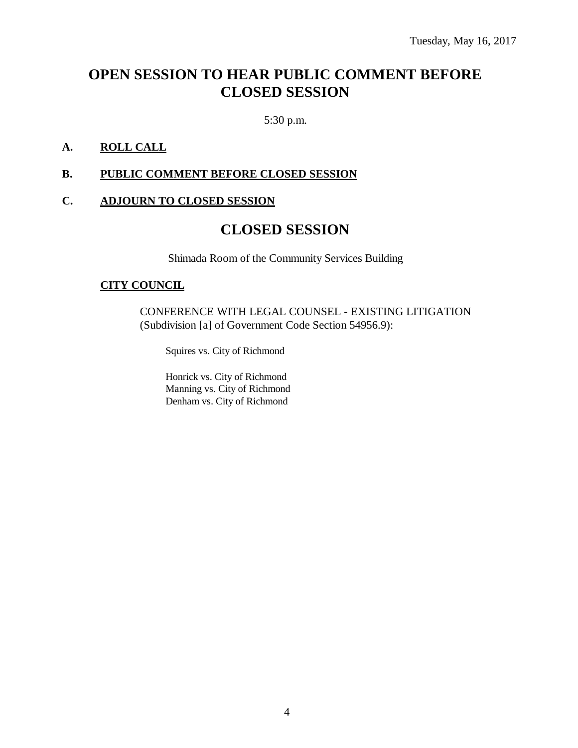# **OPEN SESSION TO HEAR PUBLIC COMMENT BEFORE CLOSED SESSION**

5:30 p.m.

# **A. ROLL CALL**

### **B. PUBLIC COMMENT BEFORE CLOSED SESSION**

### **C. ADJOURN TO CLOSED SESSION**

# **CLOSED SESSION**

Shimada Room of the Community Services Building

#### **CITY COUNCIL**

CONFERENCE WITH LEGAL COUNSEL - EXISTING LITIGATION (Subdivision [a] of Government Code Section 54956.9):

Squires vs. City of Richmond

Honrick vs. City of Richmond Manning vs. City of Richmond Denham vs. City of Richmond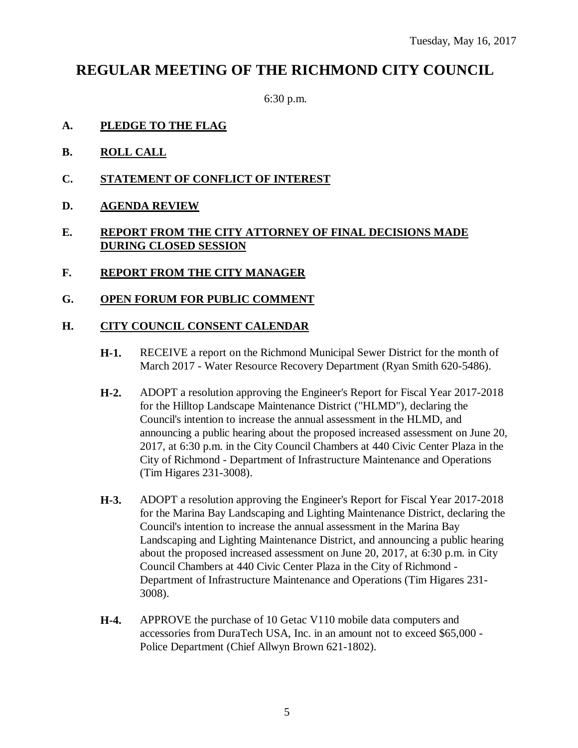# **REGULAR MEETING OF THE RICHMOND CITY COUNCIL**

6:30 p.m.

- **A. PLEDGE TO THE FLAG**
- **B. ROLL CALL**
- **C. STATEMENT OF CONFLICT OF INTEREST**
- **D. AGENDA REVIEW**

# **E. REPORT FROM THE CITY ATTORNEY OF FINAL DECISIONS MADE DURING CLOSED SESSION**

**F. REPORT FROM THE CITY MANAGER**

### **G. OPEN FORUM FOR PUBLIC COMMENT**

#### **H. CITY COUNCIL CONSENT CALENDAR**

- **H-1.** RECEIVE a report on the Richmond Municipal Sewer District for the month of March 2017 - Water Resource Recovery Department (Ryan Smith 620-5486).
- **H-2.** ADOPT a resolution approving the Engineer's Report for Fiscal Year 2017-2018 for the Hilltop Landscape Maintenance District ("HLMD"), declaring the Council's intention to increase the annual assessment in the HLMD, and announcing a public hearing about the proposed increased assessment on June 20, 2017, at 6:30 p.m. in the City Council Chambers at 440 Civic Center Plaza in the City of Richmond - Department of Infrastructure Maintenance and Operations (Tim Higares 231-3008).
- **H-3.** ADOPT a resolution approving the Engineer's Report for Fiscal Year 2017-2018 for the Marina Bay Landscaping and Lighting Maintenance District, declaring the Council's intention to increase the annual assessment in the Marina Bay Landscaping and Lighting Maintenance District, and announcing a public hearing about the proposed increased assessment on June 20, 2017, at 6:30 p.m. in City Council Chambers at 440 Civic Center Plaza in the City of Richmond - Department of Infrastructure Maintenance and Operations (Tim Higares 231- 3008).
- **H-4.** APPROVE the purchase of 10 Getac V110 mobile data computers and accessories from DuraTech USA, Inc. in an amount not to exceed \$65,000 - Police Department (Chief Allwyn Brown 621-1802).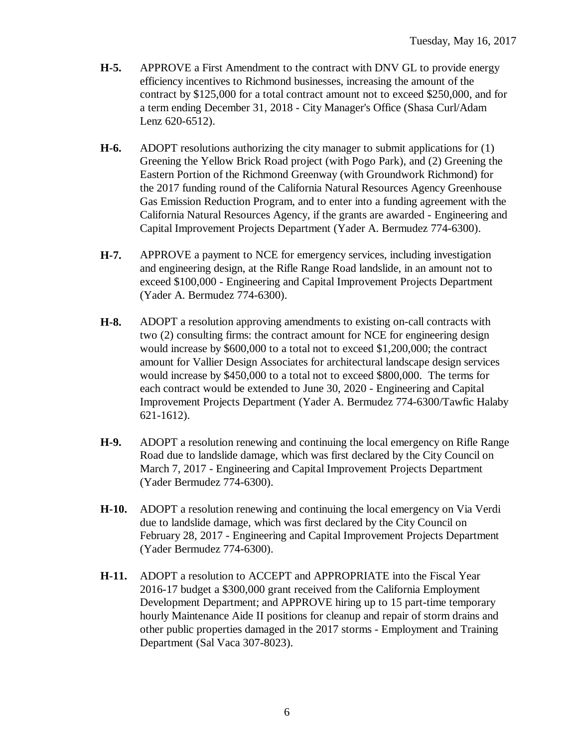- **H-5.** APPROVE a First Amendment to the contract with DNV GL to provide energy efficiency incentives to Richmond businesses, increasing the amount of the contract by \$125,000 for a total contract amount not to exceed \$250,000, and for a term ending December 31, 2018 - City Manager's Office (Shasa Curl/Adam Lenz 620-6512).
- **H-6.** ADOPT resolutions authorizing the city manager to submit applications for (1) Greening the Yellow Brick Road project (with Pogo Park), and (2) Greening the Eastern Portion of the Richmond Greenway (with Groundwork Richmond) for the 2017 funding round of the California Natural Resources Agency Greenhouse Gas Emission Reduction Program, and to enter into a funding agreement with the California Natural Resources Agency, if the grants are awarded - Engineering and Capital Improvement Projects Department (Yader A. Bermudez 774-6300).
- **H-7.** APPROVE a payment to NCE for emergency services, including investigation and engineering design, at the Rifle Range Road landslide, in an amount not to exceed \$100,000 - Engineering and Capital Improvement Projects Department (Yader A. Bermudez 774-6300).
- **H-8.** ADOPT a resolution approving amendments to existing on-call contracts with two (2) consulting firms: the contract amount for NCE for engineering design would increase by \$600,000 to a total not to exceed \$1,200,000; the contract amount for Vallier Design Associates for architectural landscape design services would increase by \$450,000 to a total not to exceed \$800,000. The terms for each contract would be extended to June 30, 2020 - Engineering and Capital Improvement Projects Department (Yader A. Bermudez 774-6300/Tawfic Halaby 621-1612).
- **H-9.** ADOPT a resolution renewing and continuing the local emergency on Rifle Range Road due to landslide damage, which was first declared by the City Council on March 7, 2017 - Engineering and Capital Improvement Projects Department (Yader Bermudez 774-6300).
- **H-10.** ADOPT a resolution renewing and continuing the local emergency on Via Verdi due to landslide damage, which was first declared by the City Council on February 28, 2017 - Engineering and Capital Improvement Projects Department (Yader Bermudez 774-6300).
- **H-11.** ADOPT a resolution to ACCEPT and APPROPRIATE into the Fiscal Year 2016-17 budget a \$300,000 grant received from the California Employment Development Department; and APPROVE hiring up to 15 part-time temporary hourly Maintenance Aide II positions for cleanup and repair of storm drains and other public properties damaged in the 2017 storms - Employment and Training Department (Sal Vaca 307-8023).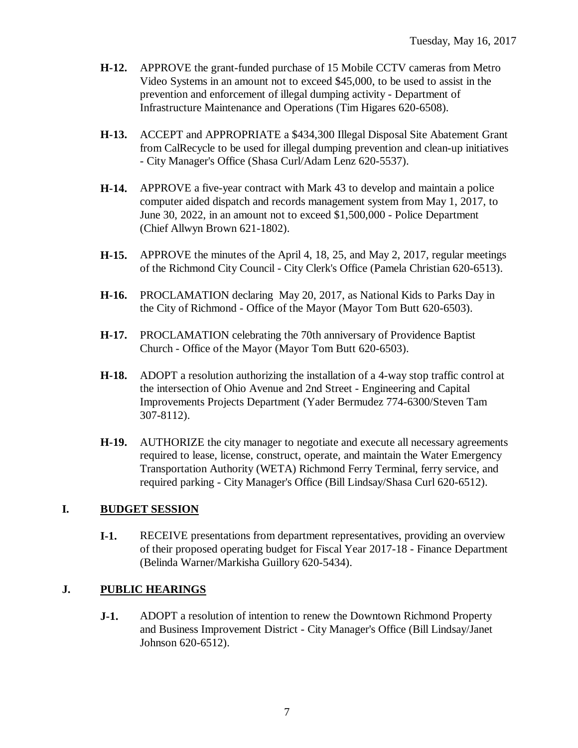- **H-12.** APPROVE the grant-funded purchase of 15 Mobile CCTV cameras from Metro Video Systems in an amount not to exceed \$45,000, to be used to assist in the prevention and enforcement of illegal dumping activity - Department of Infrastructure Maintenance and Operations (Tim Higares 620-6508).
- **H-13.** ACCEPT and APPROPRIATE a \$434,300 Illegal Disposal Site Abatement Grant from CalRecycle to be used for illegal dumping prevention and clean-up initiatives - City Manager's Office (Shasa Curl/Adam Lenz 620-5537).
- **H-14.** APPROVE a five-year contract with Mark 43 to develop and maintain a police computer aided dispatch and records management system from May 1, 2017, to June 30, 2022, in an amount not to exceed \$1,500,000 - Police Department (Chief Allwyn Brown 621-1802).
- **H-15.** APPROVE the minutes of the April 4, 18, 25, and May 2, 2017, regular meetings of the Richmond City Council - City Clerk's Office (Pamela Christian 620-6513).
- **H-16.** PROCLAMATION declaring May 20, 2017, as National Kids to Parks Day in the City of Richmond - Office of the Mayor (Mayor Tom Butt 620-6503).
- **H-17.** PROCLAMATION celebrating the 70th anniversary of Providence Baptist Church - Office of the Mayor (Mayor Tom Butt 620-6503).
- **H-18.** ADOPT a resolution authorizing the installation of a 4-way stop traffic control at the intersection of Ohio Avenue and 2nd Street - Engineering and Capital Improvements Projects Department (Yader Bermudez 774-6300/Steven Tam 307-8112).
- **H-19.** AUTHORIZE the city manager to negotiate and execute all necessary agreements required to lease, license, construct, operate, and maintain the Water Emergency Transportation Authority (WETA) Richmond Ferry Terminal, ferry service, and required parking - City Manager's Office (Bill Lindsay/Shasa Curl 620-6512).

# **I. BUDGET SESSION**

**I-1.** RECEIVE presentations from department representatives, providing an overview of their proposed operating budget for Fiscal Year 2017-18 - Finance Department (Belinda Warner/Markisha Guillory 620-5434).

## **J. PUBLIC HEARINGS**

**J-1.** ADOPT a resolution of intention to renew the Downtown Richmond Property and Business Improvement District - City Manager's Office (Bill Lindsay/Janet Johnson 620-6512).